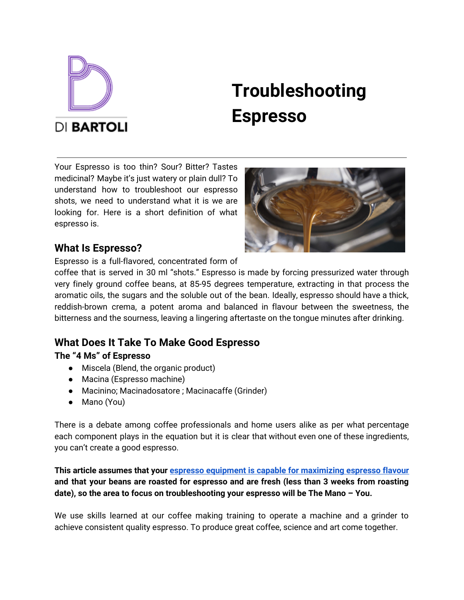

# **Troubleshooting Espresso**

Your Espresso is too thin? Sour? Bitter? Tastes medicinal? Maybe it's just watery or plain dull? To understand how to troubleshoot our espresso shots, we need to understand what it is we are looking for. Here is a short definition of what espresso is.



## **What Is Espresso?**

Espresso is a full-flavored, concentrated form of

coffee that is served in 30 ml "shots." Espresso is made by forcing pressurized water through very finely ground coffee beans, at 85-95 degrees temperature, extracting in that process the aromatic oils, the sugars and the soluble out of the bean. Ideally, espresso should have a thick, reddish-brown crema, a potent aroma and balanced in flavour between the sweetness, the bitterness and the sourness, leaving a lingering aftertaste on the tongue minutes after drinking.

# **What Does It Take To Make Good Espresso**

## **The "4 Ms" of Espresso**

- Miscela (Blend, the organic product)
- Macina (Espresso machine)
- Macinino; Macinadosatore ; Macinacaffe (Grinder)
- Mano (You)

There is a debate among coffee professionals and home users alike as per what percentage each component plays in the equation but it is clear that without even one of these ingredients, you can't create a good espresso.

### **This article assumes that your espresso equipment is capable for [maximizing](https://dibartoli.com.au/machines-buy-faq/) espresso flavour and that your beans are roasted for espresso and are fresh (less than 3 weeks from roasting date), so the area to focus on troubleshooting your espresso will be The Mano – You.**

We use skills learned at our coffee making training to operate a machine and a grinder to achieve consistent quality espresso. To produce great coffee, science and art come together.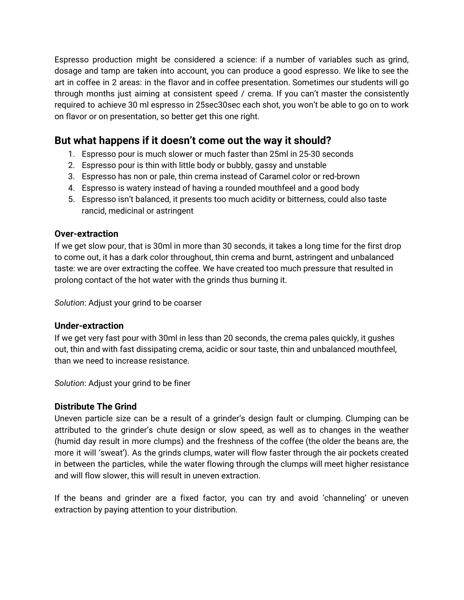Espresso production might be considered a science: if a number of variables such as grind, dosage and tamp are taken into account, you can produce a good espresso. We like to see the art in coffee in 2 areas: in the flavor and in coffee presentation. Sometimes our students will go through months just aiming at consistent speed / crema. If you can't master the consistently required to achieve 30 ml espresso in 25sec30sec each shot, you won't be able to go on to work on flavor or on presentation, so better get this one right.

# **But what happens if it doesn't come out the way it should?**

- 1. Espresso pour is much slower or much faster than 25ml in 25-30 seconds
- 2. Espresso pour is thin with little body or bubbly, gassy and unstable
- 3. Espresso has non or pale, thin crema instead of Caramel color or red-brown
- 4. Espresso is watery instead of having a rounded mouthfeel and a good body
- 5. Espresso isn't balanced, it presents too much acidity or bitterness, could also taste rancid, medicinal or astringent

#### **Over-extraction**

If we get slow pour, that is 30ml in more than 30 seconds, it takes a long time for the first drop to come out, it has a dark color throughout, thin crema and burnt, astringent and unbalanced taste: we are over extracting the coffee. We have created too much pressure that resulted in prolong contact of the hot water with the grinds thus burning it.

*Solution*: Adjust your grind to be coarser

#### **Under-extraction**

If we get very fast pour with 30ml in less than 20 seconds, the crema pales quickly, it gushes out, thin and with fast dissipating crema, acidic or sour taste, thin and unbalanced mouthfeel, than we need to increase resistance.

*Solution*: Adjust your grind to be finer

#### **Distribute The Grind**

Uneven particle size can be a result of a grinder's design fault or clumping. Clumping can be attributed to the grinder's chute design or slow speed, as well as to changes in the weather (humid day result in more clumps) and the freshness of the coffee (the older the beans are, the more it will 'sweat'). As the grinds clumps, water will flow faster through the air pockets created in between the particles, while the water flowing through the clumps will meet higher resistance and will flow slower, this will result in uneven extraction.

If the beans and grinder are a fixed factor, you can try and avoid 'channeling' or uneven extraction by paying attention to your distribution.